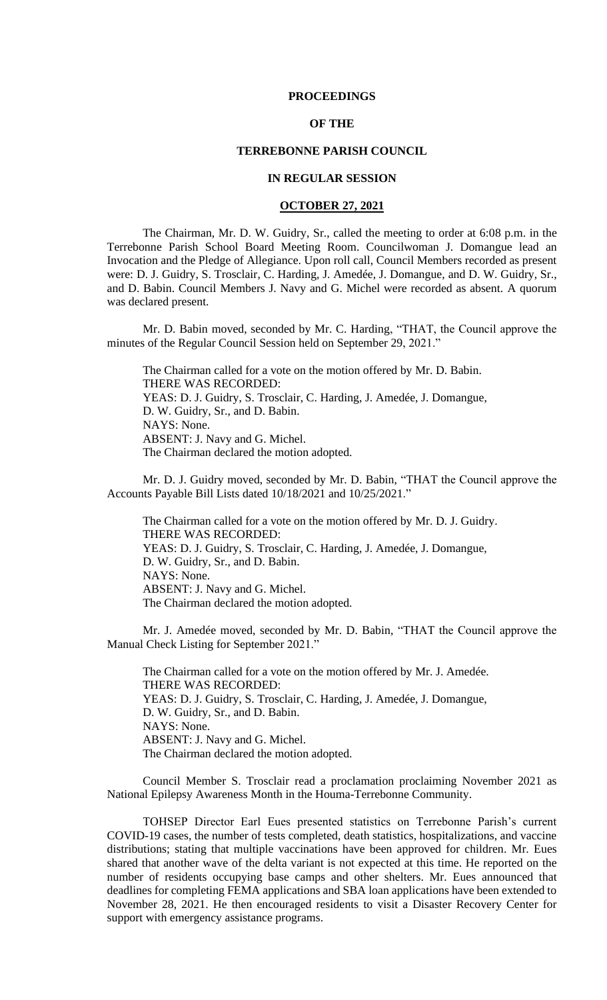#### **PROCEEDINGS**

## **OF THE**

## **TERREBONNE PARISH COUNCIL**

# **IN REGULAR SESSION**

### **OCTOBER 27, 2021**

The Chairman, Mr. D. W. Guidry, Sr., called the meeting to order at 6:08 p.m. in the Terrebonne Parish School Board Meeting Room. Councilwoman J. Domangue lead an Invocation and the Pledge of Allegiance. Upon roll call, Council Members recorded as present were: D. J. Guidry, S. Trosclair, C. Harding, J. Amedée, J. Domangue, and D. W. Guidry, Sr., and D. Babin. Council Members J. Navy and G. Michel were recorded as absent. A quorum was declared present.

Mr. D. Babin moved, seconded by Mr. C. Harding, "THAT, the Council approve the minutes of the Regular Council Session held on September 29, 2021."

The Chairman called for a vote on the motion offered by Mr. D. Babin. THERE WAS RECORDED: YEAS: D. J. Guidry, S. Trosclair, C. Harding, J. Amedée, J. Domangue, D. W. Guidry, Sr., and D. Babin. NAYS: None. ABSENT: J. Navy and G. Michel. The Chairman declared the motion adopted.

Mr. D. J. Guidry moved, seconded by Mr. D. Babin, "THAT the Council approve the Accounts Payable Bill Lists dated 10/18/2021 and 10/25/2021."

The Chairman called for a vote on the motion offered by Mr. D. J. Guidry. THERE WAS RECORDED: YEAS: D. J. Guidry, S. Trosclair, C. Harding, J. Amedée, J. Domangue, D. W. Guidry, Sr., and D. Babin. NAYS: None. ABSENT: J. Navy and G. Michel. The Chairman declared the motion adopted.

Mr. J. Amedée moved, seconded by Mr. D. Babin, "THAT the Council approve the Manual Check Listing for September 2021."

The Chairman called for a vote on the motion offered by Mr. J. Amedée. THERE WAS RECORDED: YEAS: D. J. Guidry, S. Trosclair, C. Harding, J. Amedée, J. Domangue, D. W. Guidry, Sr., and D. Babin. NAYS: None. ABSENT: J. Navy and G. Michel. The Chairman declared the motion adopted.

Council Member S. Trosclair read a proclamation proclaiming November 2021 as National Epilepsy Awareness Month in the Houma-Terrebonne Community.

TOHSEP Director Earl Eues presented statistics on Terrebonne Parish's current COVID-19 cases, the number of tests completed, death statistics, hospitalizations, and vaccine distributions; stating that multiple vaccinations have been approved for children. Mr. Eues shared that another wave of the delta variant is not expected at this time. He reported on the number of residents occupying base camps and other shelters. Mr. Eues announced that deadlines for completing FEMA applications and SBA loan applications have been extended to November 28, 2021. He then encouraged residents to visit a Disaster Recovery Center for support with emergency assistance programs.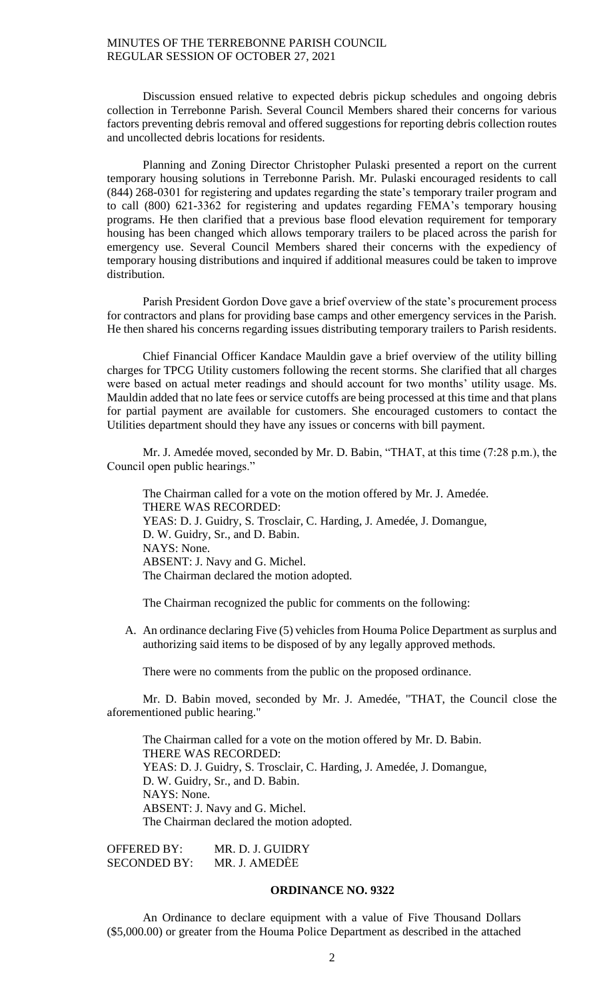Discussion ensued relative to expected debris pickup schedules and ongoing debris collection in Terrebonne Parish. Several Council Members shared their concerns for various factors preventing debris removal and offered suggestions for reporting debris collection routes and uncollected debris locations for residents.

Planning and Zoning Director Christopher Pulaski presented a report on the current temporary housing solutions in Terrebonne Parish. Mr. Pulaski encouraged residents to call (844) 268-0301 for registering and updates regarding the state's temporary trailer program and to call (800) 621-3362 for registering and updates regarding FEMA's temporary housing programs. He then clarified that a previous base flood elevation requirement for temporary housing has been changed which allows temporary trailers to be placed across the parish for emergency use. Several Council Members shared their concerns with the expediency of temporary housing distributions and inquired if additional measures could be taken to improve distribution.

Parish President Gordon Dove gave a brief overview of the state's procurement process for contractors and plans for providing base camps and other emergency services in the Parish. He then shared his concerns regarding issues distributing temporary trailers to Parish residents.

Chief Financial Officer Kandace Mauldin gave a brief overview of the utility billing charges for TPCG Utility customers following the recent storms. She clarified that all charges were based on actual meter readings and should account for two months' utility usage. Ms. Mauldin added that no late fees or service cutoffs are being processed at this time and that plans for partial payment are available for customers. She encouraged customers to contact the Utilities department should they have any issues or concerns with bill payment.

Mr. J. Amedée moved, seconded by Mr. D. Babin, "THAT, at this time (7:28 p.m.), the Council open public hearings."

The Chairman called for a vote on the motion offered by Mr. J. Amedée. THERE WAS RECORDED: YEAS: D. J. Guidry, S. Trosclair, C. Harding, J. Amedée, J. Domangue, D. W. Guidry, Sr., and D. Babin. NAYS: None. ABSENT: J. Navy and G. Michel. The Chairman declared the motion adopted.

The Chairman recognized the public for comments on the following:

A. An ordinance declaring Five (5) vehicles from Houma Police Department as surplus and authorizing said items to be disposed of by any legally approved methods.

There were no comments from the public on the proposed ordinance.

Mr. D. Babin moved, seconded by Mr. J. Amedée, "THAT, the Council close the aforementioned public hearing."

The Chairman called for a vote on the motion offered by Mr. D. Babin. THERE WAS RECORDED: YEAS: D. J. Guidry, S. Trosclair, C. Harding, J. Amedée, J. Domangue, D. W. Guidry, Sr., and D. Babin. NAYS: None. ABSENT: J. Navy and G. Michel. The Chairman declared the motion adopted.

OFFERED BY: MR. D. J. GUIDRY SECONDED BY: MR. J. AMEDĖE

## **ORDINANCE NO. 9322**

An Ordinance to declare equipment with a value of Five Thousand Dollars (\$5,000.00) or greater from the Houma Police Department as described in the attached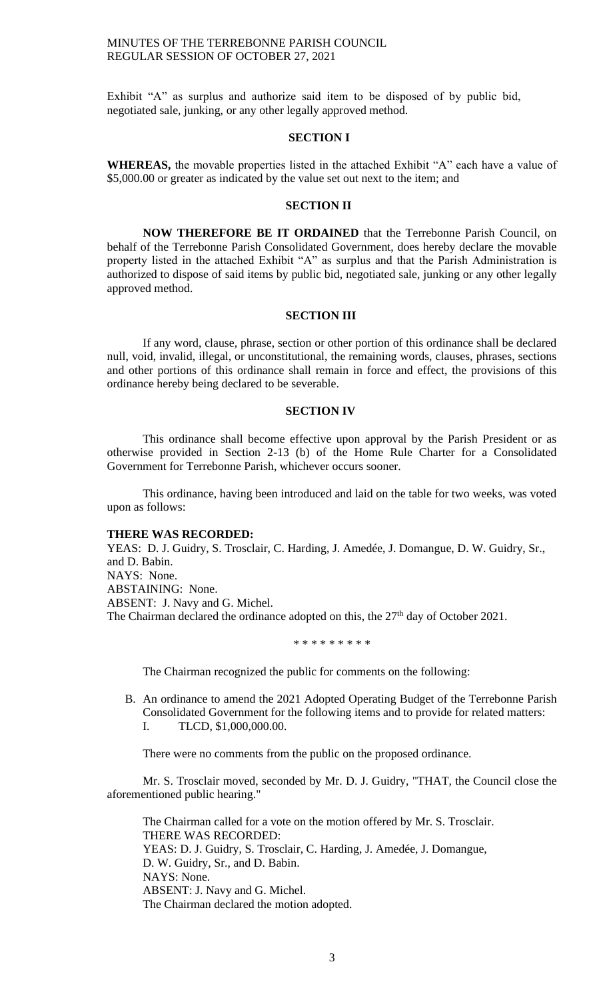Exhibit "A" as surplus and authorize said item to be disposed of by public bid, negotiated sale, junking, or any other legally approved method.

## **SECTION I**

**WHEREAS,** the movable properties listed in the attached Exhibit "A" each have a value of \$5,000.00 or greater as indicated by the value set out next to the item; and

## **SECTION II**

**NOW THEREFORE BE IT ORDAINED** that the Terrebonne Parish Council, on behalf of the Terrebonne Parish Consolidated Government, does hereby declare the movable property listed in the attached Exhibit "A" as surplus and that the Parish Administration is authorized to dispose of said items by public bid, negotiated sale, junking or any other legally approved method.

### **SECTION III**

If any word, clause, phrase, section or other portion of this ordinance shall be declared null, void, invalid, illegal, or unconstitutional, the remaining words, clauses, phrases, sections and other portions of this ordinance shall remain in force and effect, the provisions of this ordinance hereby being declared to be severable.

## **SECTION IV**

This ordinance shall become effective upon approval by the Parish President or as otherwise provided in Section 2-13 (b) of the Home Rule Charter for a Consolidated Government for Terrebonne Parish, whichever occurs sooner.

This ordinance, having been introduced and laid on the table for two weeks, was voted upon as follows:

### **THERE WAS RECORDED:**

YEAS: D. J. Guidry, S. Trosclair, C. Harding, J. Amedée, J. Domangue, D. W. Guidry, Sr., and D. Babin. NAYS: None. ABSTAINING: None. ABSENT: J. Navy and G. Michel. The Chairman declared the ordinance adopted on this, the 27<sup>th</sup> day of October 2021.

\* \* \* \* \* \* \* \* \*

The Chairman recognized the public for comments on the following:

B. An ordinance to amend the 2021 Adopted Operating Budget of the Terrebonne Parish Consolidated Government for the following items and to provide for related matters: I. TLCD, \$1,000,000.00.

There were no comments from the public on the proposed ordinance.

Mr. S. Trosclair moved, seconded by Mr. D. J. Guidry, "THAT, the Council close the aforementioned public hearing."

The Chairman called for a vote on the motion offered by Mr. S. Trosclair. THERE WAS RECORDED: YEAS: D. J. Guidry, S. Trosclair, C. Harding, J. Amedée, J. Domangue, D. W. Guidry, Sr., and D. Babin. NAYS: None. ABSENT: J. Navy and G. Michel. The Chairman declared the motion adopted.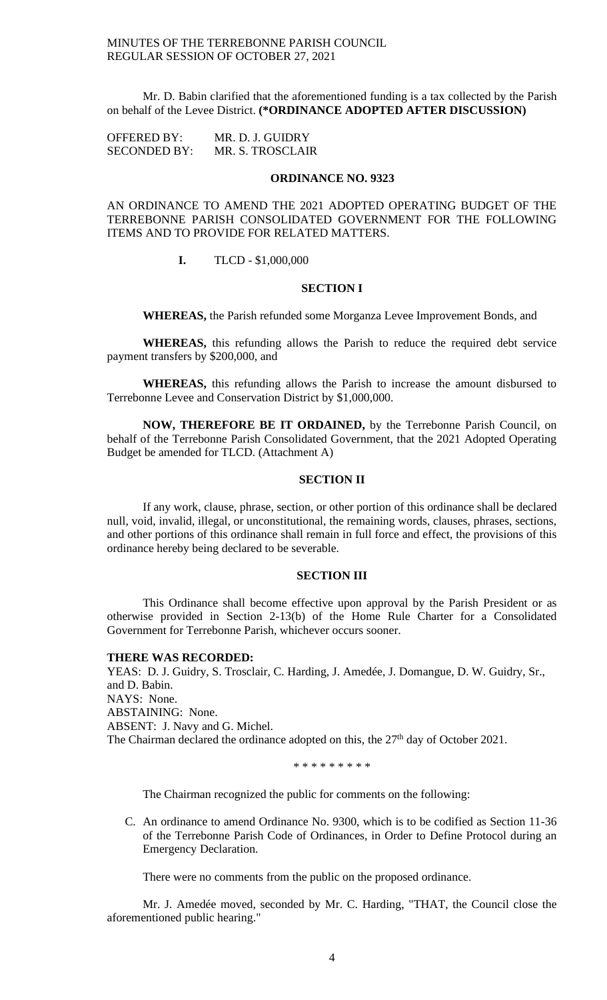Mr. D. Babin clarified that the aforementioned funding is a tax collected by the Parish on behalf of the Levee District. **(\*ORDINANCE ADOPTED AFTER DISCUSSION)**

OFFERED BY: MR. D. J. GUIDRY SECONDED BY: MR. S. TROSCLAIR

# **ORDINANCE NO. 9323**

AN ORDINANCE TO AMEND THE 2021 ADOPTED OPERATING BUDGET OF THE TERREBONNE PARISH CONSOLIDATED GOVERNMENT FOR THE FOLLOWING ITEMS AND TO PROVIDE FOR RELATED MATTERS.

## **I.** TLCD - \$1,000,000

## **SECTION I**

**WHEREAS,** the Parish refunded some Morganza Levee Improvement Bonds, and

**WHEREAS,** this refunding allows the Parish to reduce the required debt service payment transfers by \$200,000, and

**WHEREAS,** this refunding allows the Parish to increase the amount disbursed to Terrebonne Levee and Conservation District by \$1,000,000.

**NOW, THEREFORE BE IT ORDAINED,** by the Terrebonne Parish Council, on behalf of the Terrebonne Parish Consolidated Government, that the 2021 Adopted Operating Budget be amended for TLCD. (Attachment A)

### **SECTION II**

If any work, clause, phrase, section, or other portion of this ordinance shall be declared null, void, invalid, illegal, or unconstitutional, the remaining words, clauses, phrases, sections, and other portions of this ordinance shall remain in full force and effect, the provisions of this ordinance hereby being declared to be severable.

#### **SECTION III**

This Ordinance shall become effective upon approval by the Parish President or as otherwise provided in Section 2-13(b) of the Home Rule Charter for a Consolidated Government for Terrebonne Parish, whichever occurs sooner.

#### **THERE WAS RECORDED:**

YEAS: D. J. Guidry, S. Trosclair, C. Harding, J. Amedée, J. Domangue, D. W. Guidry, Sr., and D. Babin. NAYS: None. ABSTAINING: None. ABSENT: J. Navy and G. Michel. The Chairman declared the ordinance adopted on this, the  $27<sup>th</sup>$  day of October 2021.

\* \* \* \* \* \* \* \* \*

The Chairman recognized the public for comments on the following:

C. An ordinance to amend Ordinance No. 9300, which is to be codified as Section 11-36 of the Terrebonne Parish Code of Ordinances, in Order to Define Protocol during an Emergency Declaration.

There were no comments from the public on the proposed ordinance.

Mr. J. Amedée moved, seconded by Mr. C. Harding, "THAT, the Council close the aforementioned public hearing."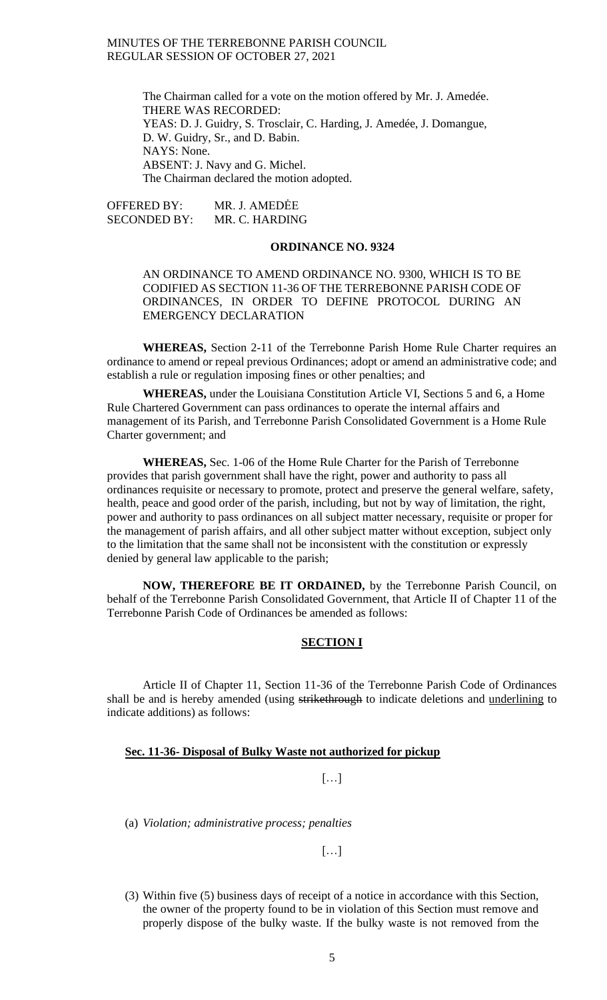> The Chairman called for a vote on the motion offered by Mr. J. Amedée. THERE WAS RECORDED: YEAS: D. J. Guidry, S. Trosclair, C. Harding, J. Amedée, J. Domangue, D. W. Guidry, Sr., and D. Babin. NAYS: None. ABSENT: J. Navy and G. Michel. The Chairman declared the motion adopted.

OFFERED BY: MR. J. AMEDĖE SECONDED BY: MR. C. HARDING

## **ORDINANCE NO. 9324**

## AN ORDINANCE TO AMEND ORDINANCE NO. 9300, WHICH IS TO BE CODIFIED AS SECTION 11-36 OF THE TERREBONNE PARISH CODE OF ORDINANCES, IN ORDER TO DEFINE PROTOCOL DURING AN EMERGENCY DECLARATION

**WHEREAS,** Section 2-11 of the Terrebonne Parish Home Rule Charter requires an ordinance to amend or repeal previous Ordinances; adopt or amend an administrative code; and establish a rule or regulation imposing fines or other penalties; and

**WHEREAS,** under the Louisiana Constitution Article VI, Sections 5 and 6, a Home Rule Chartered Government can pass ordinances to operate the internal affairs and management of its Parish, and Terrebonne Parish Consolidated Government is a Home Rule Charter government; and

**WHEREAS,** Sec. 1-06 of the Home Rule Charter for the Parish of Terrebonne provides that parish government shall have the right, power and authority to pass all ordinances requisite or necessary to promote, protect and preserve the general welfare, safety, health, peace and good order of the parish, including, but not by way of limitation, the right, power and authority to pass ordinances on all subject matter necessary, requisite or proper for the management of parish affairs, and all other subject matter without exception, subject only to the limitation that the same shall not be inconsistent with the constitution or expressly denied by general law applicable to the parish;

**NOW, THEREFORE BE IT ORDAINED,** by the Terrebonne Parish Council, on behalf of the Terrebonne Parish Consolidated Government, that Article II of Chapter 11 of the Terrebonne Parish Code of Ordinances be amended as follows:

# **SECTION I**

Article II of Chapter 11, Section 11-36 of the Terrebonne Parish Code of Ordinances shall be and is hereby amended (using strikethrough to indicate deletions and underlining to indicate additions) as follows:

## **Sec. 11-36- Disposal of Bulky Waste not authorized for pickup**

# […]

(a) *Violation; administrative process; penalties*

[…]

(3) Within five (5) business days of receipt of a notice in accordance with this Section, the owner of the property found to be in violation of this Section must remove and properly dispose of the bulky waste. If the bulky waste is not removed from the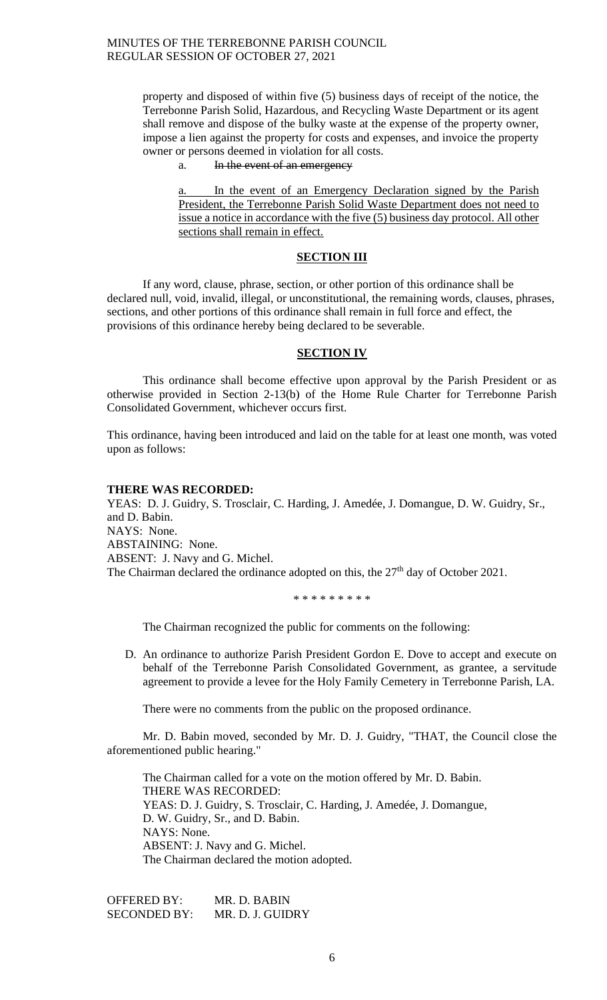property and disposed of within five (5) business days of receipt of the notice, the Terrebonne Parish Solid, Hazardous, and Recycling Waste Department or its agent shall remove and dispose of the bulky waste at the expense of the property owner, impose a lien against the property for costs and expenses, and invoice the property owner or persons deemed in violation for all costs.

a. In the event of an emergency

In the event of an Emergency Declaration signed by the Parish President, the Terrebonne Parish Solid Waste Department does not need to issue a notice in accordance with the five (5) business day protocol. All other sections shall remain in effect.

## **SECTION III**

If any word, clause, phrase, section, or other portion of this ordinance shall be declared null, void, invalid, illegal, or unconstitutional, the remaining words, clauses, phrases, sections, and other portions of this ordinance shall remain in full force and effect, the provisions of this ordinance hereby being declared to be severable.

#### **SECTION IV**

This ordinance shall become effective upon approval by the Parish President or as otherwise provided in Section 2-13(b) of the Home Rule Charter for Terrebonne Parish Consolidated Government, whichever occurs first.

This ordinance, having been introduced and laid on the table for at least one month, was voted upon as follows:

#### **THERE WAS RECORDED:**

YEAS: D. J. Guidry, S. Trosclair, C. Harding, J. Amedée, J. Domangue, D. W. Guidry, Sr., and D. Babin. NAYS: None. ABSTAINING: None. ABSENT: J. Navy and G. Michel. The Chairman declared the ordinance adopted on this, the 27<sup>th</sup> day of October 2021.

\* \* \* \* \* \* \* \* \*

The Chairman recognized the public for comments on the following:

D. An ordinance to authorize Parish President Gordon E. Dove to accept and execute on behalf of the Terrebonne Parish Consolidated Government, as grantee, a servitude agreement to provide a levee for the Holy Family Cemetery in Terrebonne Parish, LA.

There were no comments from the public on the proposed ordinance.

Mr. D. Babin moved, seconded by Mr. D. J. Guidry, "THAT, the Council close the aforementioned public hearing."

The Chairman called for a vote on the motion offered by Mr. D. Babin. THERE WAS RECORDED: YEAS: D. J. Guidry, S. Trosclair, C. Harding, J. Amedée, J. Domangue, D. W. Guidry, Sr., and D. Babin. NAYS: None. ABSENT: J. Navy and G. Michel. The Chairman declared the motion adopted.

OFFERED BY: MR. D. BABIN SECONDED BY: MR. D. J. GUIDRY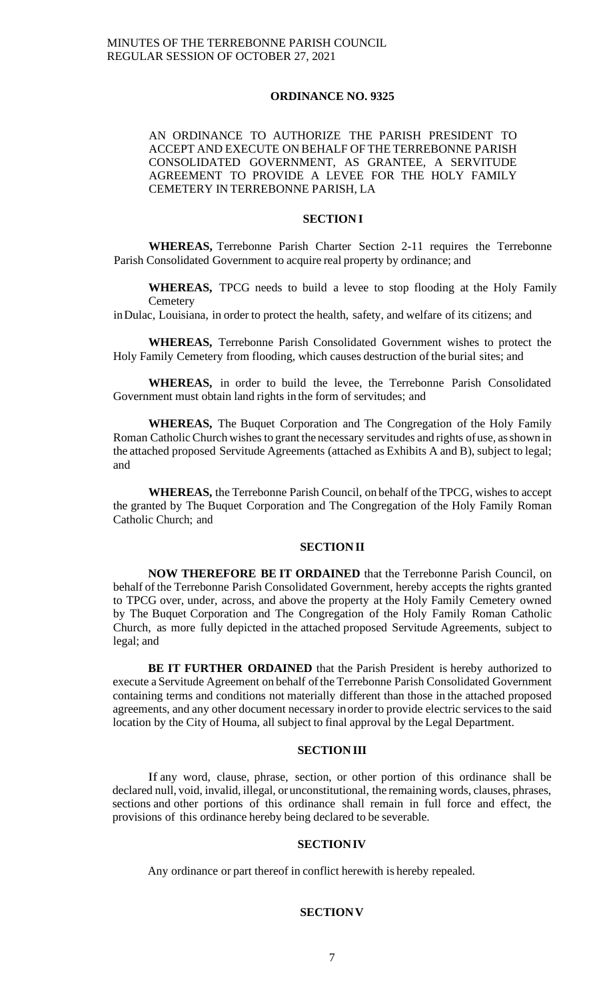### **ORDINANCE NO. 9325**

AN ORDINANCE TO AUTHORIZE THE PARISH PRESIDENT TO ACCEPT AND EXECUTE ON BEHALF OF THE TERREBONNE PARISH CONSOLIDATED GOVERNMENT, AS GRANTEE, A SERVITUDE AGREEMENT TO PROVIDE A LEVEE FOR THE HOLY FAMILY CEMETERY IN TERREBONNE PARISH, LA

## **SECTION I**

**WHEREAS,** Terrebonne Parish Charter Section 2-11 requires the Terrebonne Parish Consolidated Government to acquire real property by ordinance; and

**WHEREAS,** TPCG needs to build a levee to stop flooding at the Holy Family **Cemetery** 

inDulac, Louisiana, in order to protect the health, safety, and welfare of its citizens; and

**WHEREAS,** Terrebonne Parish Consolidated Government wishes to protect the Holy Family Cemetery from flooding, which causes destruction of the burial sites; and

**WHEREAS,** in order to build the levee, the Terrebonne Parish Consolidated Government must obtain land rights in the form of servitudes; and

**WHEREAS,** The Buquet Corporation and The Congregation of the Holy Family Roman Catholic Church wishes to grant the necessary servitudes and rights of use, as shown in the attached proposed Servitude Agreements (attached as Exhibits A and B), subject to legal; and

**WHEREAS,** the Terrebonne Parish Council, on behalf ofthe TPCG, wishes to accept the granted by The Buquet Corporation and The Congregation of the Holy Family Roman Catholic Church; and

### **SECTIONII**

**NOW THEREFORE BE IT ORDAINED** that the Terrebonne Parish Council, on behalf of the Terrebonne Parish Consolidated Government, hereby accepts the rights granted to TPCG over, under, across, and above the property at the Holy Family Cemetery owned by The Buquet Corporation and The Congregation of the Holy Family Roman Catholic Church, as more fully depicted in the attached proposed Servitude Agreements, subject to legal; and

**BE IT FURTHER ORDAINED** that the Parish President is hereby authorized to execute a Servitude Agreement on behalf of the Terrebonne Parish Consolidated Government containing terms and conditions not materially different than those in the attached proposed agreements, and any other document necessary inorder to provide electric servicesto the said location by the City of Houma, all subject to final approval by the Legal Department.

### **SECTIONIII**

If any word, clause, phrase, section, or other portion of this ordinance shall be declared null, void, invalid, illegal, or unconstitutional, the remaining words, clauses, phrases, sections and other portions of this ordinance shall remain in full force and effect, the provisions of this ordinance hereby being declared to be severable.

### **SECTIONIV**

Any ordinance or part thereof in conflict herewith is hereby repealed.

#### **SECTIONV**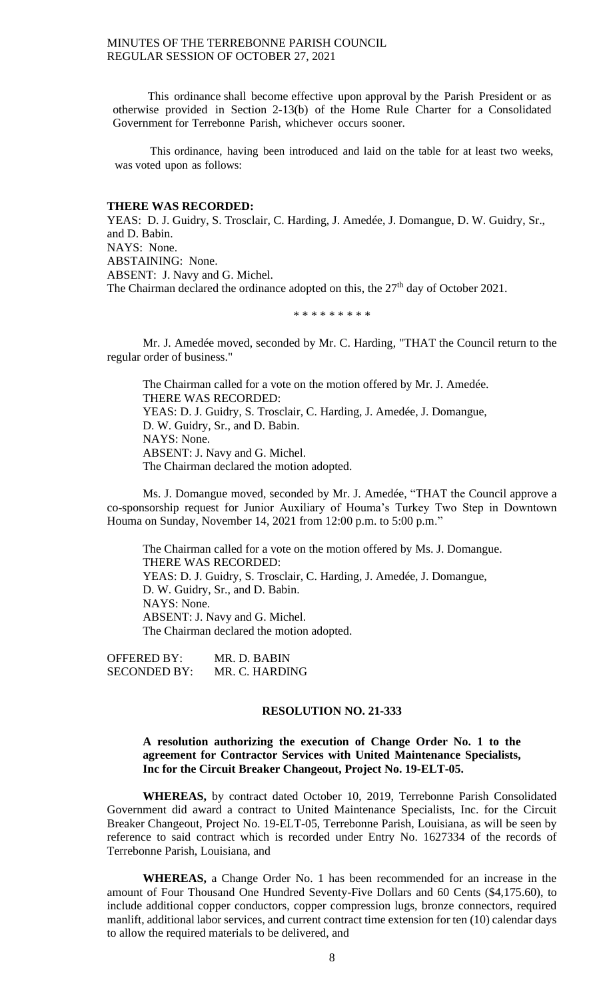This ordinance shall become effective upon approval by the Parish President or as otherwise provided in Section 2-13(b) of the Home Rule Charter for a Consolidated Government for Terrebonne Parish, whichever occurs sooner.

This ordinance, having been introduced and laid on the table for at least two weeks, was voted upon as follows:

#### **THERE WAS RECORDED:**

YEAS: D. J. Guidry, S. Trosclair, C. Harding, J. Amedée, J. Domangue, D. W. Guidry, Sr., and D. Babin. NAYS: None. ABSTAINING: None. ABSENT: J. Navy and G. Michel. The Chairman declared the ordinance adopted on this, the 27<sup>th</sup> day of October 2021.

## \* \* \* \* \* \* \* \* \*

Mr. J. Amedée moved, seconded by Mr. C. Harding, "THAT the Council return to the regular order of business."

The Chairman called for a vote on the motion offered by Mr. J. Amedée. THERE WAS RECORDED: YEAS: D. J. Guidry, S. Trosclair, C. Harding, J. Amedée, J. Domangue, D. W. Guidry, Sr., and D. Babin. NAYS: None. ABSENT: J. Navy and G. Michel. The Chairman declared the motion adopted.

Ms. J. Domangue moved, seconded by Mr. J. Amedée, "THAT the Council approve a co-sponsorship request for Junior Auxiliary of Houma's Turkey Two Step in Downtown Houma on Sunday, November 14, 2021 from 12:00 p.m. to 5:00 p.m."

The Chairman called for a vote on the motion offered by Ms. J. Domangue. THERE WAS RECORDED: YEAS: D. J. Guidry, S. Trosclair, C. Harding, J. Amedée, J. Domangue, D. W. Guidry, Sr., and D. Babin. NAYS: None. ABSENT: J. Navy and G. Michel. The Chairman declared the motion adopted.

OFFERED BY: MR. D. BABIN SECONDED BY: MR. C. HARDING

## **RESOLUTION NO. 21-333**

## **A resolution authorizing the execution of Change Order No. 1 to the agreement for Contractor Services with United Maintenance Specialists, Inc for the Circuit Breaker Changeout, Project No. 19-ELT-05.**

 **WHEREAS,** by contract dated October 10, 2019, Terrebonne Parish Consolidated Government did award a contract to United Maintenance Specialists, Inc. for the Circuit Breaker Changeout, Project No. 19-ELT-05, Terrebonne Parish, Louisiana, as will be seen by reference to said contract which is recorded under Entry No. 1627334 of the records of Terrebonne Parish, Louisiana, and

 **WHEREAS,** a Change Order No. 1 has been recommended for an increase in the amount of Four Thousand One Hundred Seventy-Five Dollars and 60 Cents (\$4,175.60), to include additional copper conductors, copper compression lugs, bronze connectors, required manlift, additional labor services, and current contract time extension for ten (10) calendar days to allow the required materials to be delivered, and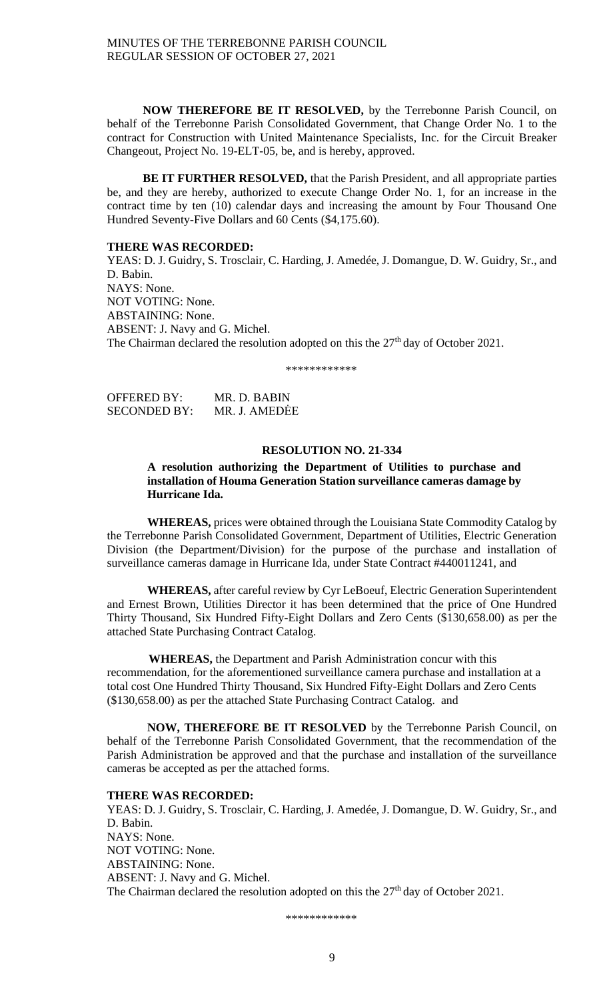**NOW THEREFORE BE IT RESOLVED,** by the Terrebonne Parish Council, on behalf of the Terrebonne Parish Consolidated Government, that Change Order No. 1 to the contract for Construction with United Maintenance Specialists, Inc. for the Circuit Breaker Changeout, Project No. 19-ELT-05, be, and is hereby, approved.

 **BE IT FURTHER RESOLVED,** that the Parish President, and all appropriate parties be, and they are hereby, authorized to execute Change Order No. 1, for an increase in the contract time by ten (10) calendar days and increasing the amount by Four Thousand One Hundred Seventy-Five Dollars and 60 Cents (\$4,175.60).

## **THERE WAS RECORDED:**

YEAS: D. J. Guidry, S. Trosclair, C. Harding, J. Amedée, J. Domangue, D. W. Guidry, Sr., and D. Babin. NAYS: None. NOT VOTING: None. ABSTAINING: None. ABSENT: J. Navy and G. Michel. The Chairman declared the resolution adopted on this the 27<sup>th</sup> day of October 2021.

\*\*\*\*\*\*\*\*\*\*\*\*

| OFFERED BY:  | MR. D. BABIN  |
|--------------|---------------|
| SECONDED BY: | MR. J. AMEDĖE |

#### **RESOLUTION NO. 21-334**

## **A resolution authorizing the Department of Utilities to purchase and installation of Houma Generation Station surveillance cameras damage by Hurricane Ida.**

**WHEREAS,** prices were obtained through the Louisiana State Commodity Catalog by the Terrebonne Parish Consolidated Government, Department of Utilities, Electric Generation Division (the Department/Division) for the purpose of the purchase and installation of surveillance cameras damage in Hurricane Ida, under State Contract #440011241, and

**WHEREAS,** after careful review by Cyr LeBoeuf, Electric Generation Superintendent and Ernest Brown, Utilities Director it has been determined that the price of One Hundred Thirty Thousand, Six Hundred Fifty-Eight Dollars and Zero Cents (\$130,658.00) as per the attached State Purchasing Contract Catalog.

 **WHEREAS,** the Department and Parish Administration concur with this recommendation, for the aforementioned surveillance camera purchase and installation at a total cost One Hundred Thirty Thousand, Six Hundred Fifty-Eight Dollars and Zero Cents (\$130,658.00) as per the attached State Purchasing Contract Catalog. and

**NOW, THEREFORE BE IT RESOLVED** by the Terrebonne Parish Council, on behalf of the Terrebonne Parish Consolidated Government, that the recommendation of the Parish Administration be approved and that the purchase and installation of the surveillance cameras be accepted as per the attached forms.

## **THERE WAS RECORDED:**

YEAS: D. J. Guidry, S. Trosclair, C. Harding, J. Amedée, J. Domangue, D. W. Guidry, Sr., and D. Babin. NAYS: None. NOT VOTING: None. ABSTAINING: None. ABSENT: J. Navy and G. Michel. The Chairman declared the resolution adopted on this the 27<sup>th</sup> day of October 2021.

\*\*\*\*\*\*\*\*\*\*\*\*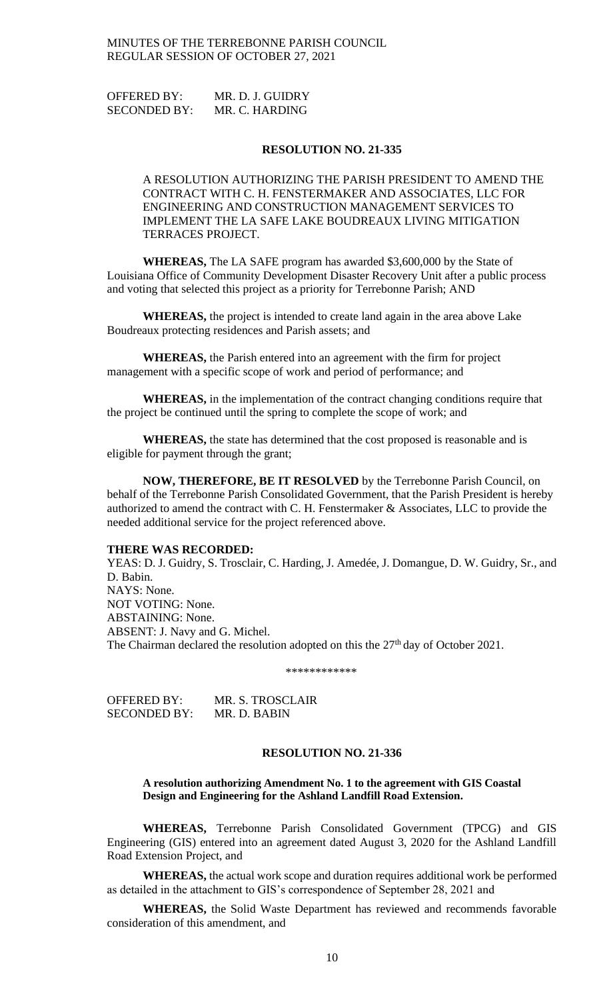OFFERED BY: MR. D. J. GUIDRY SECONDED BY: MR. C. HARDING

### **RESOLUTION NO. 21-335**

A RESOLUTION AUTHORIZING THE PARISH PRESIDENT TO AMEND THE CONTRACT WITH C. H. FENSTERMAKER AND ASSOCIATES, LLC FOR ENGINEERING AND CONSTRUCTION MANAGEMENT SERVICES TO IMPLEMENT THE LA SAFE LAKE BOUDREAUX LIVING MITIGATION TERRACES PROJECT.

**WHEREAS,** The LA SAFE program has awarded \$3,600,000 by the State of Louisiana Office of Community Development Disaster Recovery Unit after a public process and voting that selected this project as a priority for Terrebonne Parish; AND

**WHEREAS,** the project is intended to create land again in the area above Lake Boudreaux protecting residences and Parish assets; and

**WHEREAS,** the Parish entered into an agreement with the firm for project management with a specific scope of work and period of performance; and

**WHEREAS,** in the implementation of the contract changing conditions require that the project be continued until the spring to complete the scope of work; and

**WHEREAS,** the state has determined that the cost proposed is reasonable and is eligible for payment through the grant;

**NOW, THEREFORE, BE IT RESOLVED** by the Terrebonne Parish Council, on behalf of the Terrebonne Parish Consolidated Government, that the Parish President is hereby authorized to amend the contract with C. H. Fenstermaker & Associates, LLC to provide the needed additional service for the project referenced above.

#### **THERE WAS RECORDED:**

YEAS: D. J. Guidry, S. Trosclair, C. Harding, J. Amedée, J. Domangue, D. W. Guidry, Sr., and D. Babin. NAYS: None. NOT VOTING: None. ABSTAINING: None. ABSENT: J. Navy and G. Michel. The Chairman declared the resolution adopted on this the 27<sup>th</sup> day of October 2021.

\*\*\*\*\*\*\*\*\*\*\*\*

OFFERED BY: MR. S. TROSCLAIR SECONDED BY: MR. D. BABIN

## **RESOLUTION NO. 21-336**

### **A resolution authorizing Amendment No. 1 to the agreement with GIS Coastal Design and Engineering for the Ashland Landfill Road Extension.**

**WHEREAS,** Terrebonne Parish Consolidated Government (TPCG) and GIS Engineering (GIS) entered into an agreement dated August 3, 2020 for the Ashland Landfill Road Extension Project, and

**WHEREAS,** the actual work scope and duration requires additional work be performed as detailed in the attachment to GIS's correspondence of September 28, 2021 and

**WHEREAS,** the Solid Waste Department has reviewed and recommends favorable consideration of this amendment, and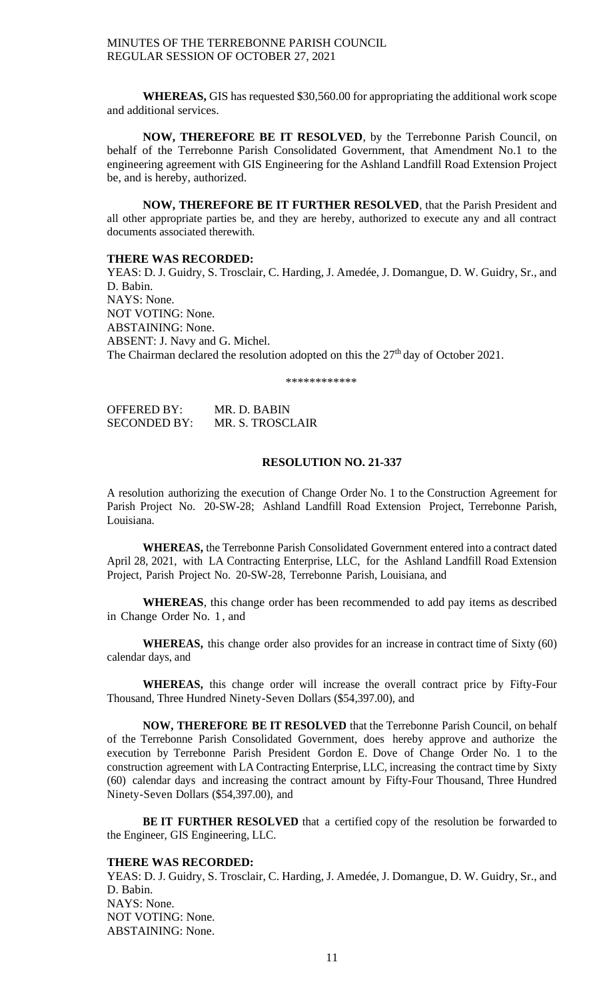**WHEREAS,** GIS has requested \$30,560.00 for appropriating the additional work scope and additional services.

**NOW, THEREFORE BE IT RESOLVED**, by the Terrebonne Parish Council, on behalf of the Terrebonne Parish Consolidated Government, that Amendment No.1 to the engineering agreement with GIS Engineering for the Ashland Landfill Road Extension Project be, and is hereby, authorized.

**NOW, THEREFORE BE IT FURTHER RESOLVED**, that the Parish President and all other appropriate parties be, and they are hereby, authorized to execute any and all contract documents associated therewith.

## **THERE WAS RECORDED:**

YEAS: D. J. Guidry, S. Trosclair, C. Harding, J. Amedée, J. Domangue, D. W. Guidry, Sr., and D. Babin. NAYS: None. NOT VOTING: None. ABSTAINING: None. ABSENT: J. Navy and G. Michel. The Chairman declared the resolution adopted on this the 27<sup>th</sup> day of October 2021.

\*\*\*\*\*\*\*\*\*\*\*\*

| <b>OFFERED BY:</b>  | MR. D. BABIN     |
|---------------------|------------------|
| <b>SECONDED BY:</b> | MR. S. TROSCLAIR |

### **RESOLUTION NO. 21-337**

A resolution authorizing the execution of Change Order No. 1 to the Construction Agreement for Parish Project No. 20-SW-28; Ashland Landfill Road Extension Project, Terrebonne Parish, Louisiana.

**WHEREAS,** the Terrebonne Parish Consolidated Government entered into a contract dated April 28, 2021, with LA Contracting Enterprise, LLC, for the Ashland Landfill Road Extension Project, Parish Project No. 20-SW-28, Terrebonne Parish, Louisiana, and

**WHEREAS**, this change order has been recommended to add pay items as described in Change Order No. 1 , and

**WHEREAS,** this change order also provides for an increase in contract time of Sixty (60) calendar days, and

**WHEREAS,** this change order will increase the overall contract price by Fifty-Four Thousand, Three Hundred Ninety-Seven Dollars (\$54,397.00), and

**NOW, THEREFORE BE IT RESOLVED** that the Terrebonne Parish Council, on behalf of the Terrebonne Parish Consolidated Government, does hereby approve and authorize the execution by Terrebonne Parish President Gordon E. Dove of Change Order No. 1 to the construction agreement with LA Contracting Enterprise, LLC, increasing the contract time by Sixty (60) calendar days and increasing the contract amount by Fifty-Four Thousand, Three Hundred Ninety-Seven Dollars (\$54,397.00), and

**BE IT FURTHER RESOLVED** that a certified copy of the resolution be forwarded to the Engineer, GIS Engineering, LLC.

#### **THERE WAS RECORDED:**

YEAS: D. J. Guidry, S. Trosclair, C. Harding, J. Amedée, J. Domangue, D. W. Guidry, Sr., and D. Babin. NAYS: None. NOT VOTING: None. ABSTAINING: None.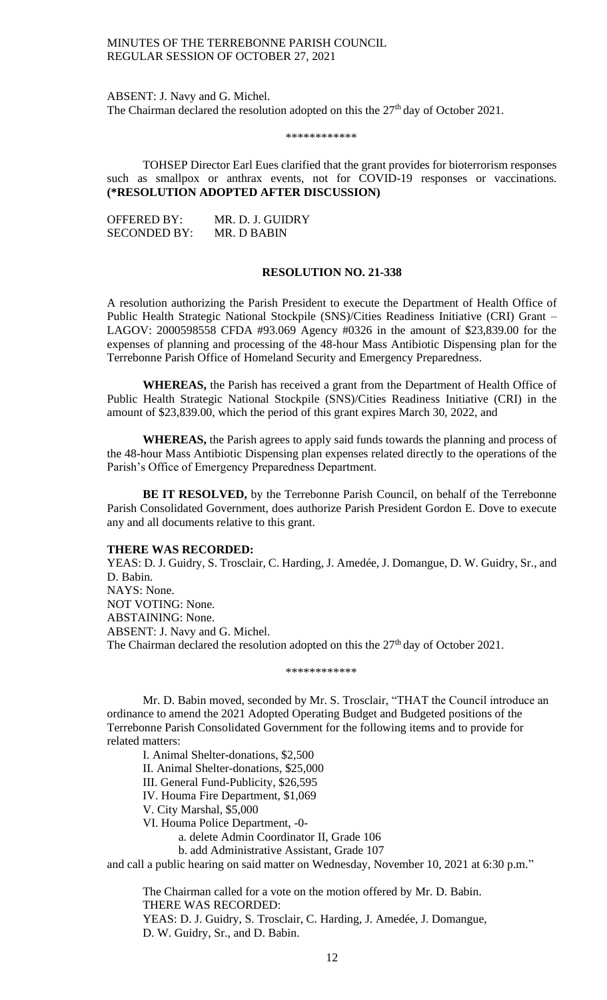ABSENT: J. Navy and G. Michel. The Chairman declared the resolution adopted on this the  $27<sup>th</sup>$  day of October 2021.

\*\*\*\*\*\*\*\*\*\*\*\*

TOHSEP Director Earl Eues clarified that the grant provides for bioterrorism responses such as smallpox or anthrax events, not for COVID-19 responses or vaccinations. **(\*RESOLUTION ADOPTED AFTER DISCUSSION)**

| <b>OFFERED BY:</b>  | MR. D. J. GUIDRY |
|---------------------|------------------|
| <b>SECONDED BY:</b> | MR. D BABIN      |

## **RESOLUTION NO. 21-338**

A resolution authorizing the Parish President to execute the Department of Health Office of Public Health Strategic National Stockpile (SNS)/Cities Readiness Initiative (CRI) Grant – LAGOV: 2000598558 CFDA #93.069 Agency #0326 in the amount of \$23,839.00 for the expenses of planning and processing of the 48-hour Mass Antibiotic Dispensing plan for the Terrebonne Parish Office of Homeland Security and Emergency Preparedness.

**WHEREAS,** the Parish has received a grant from the Department of Health Office of Public Health Strategic National Stockpile (SNS)/Cities Readiness Initiative (CRI) in the amount of \$23,839.00, which the period of this grant expires March 30, 2022, and

**WHEREAS,** the Parish agrees to apply said funds towards the planning and process of the 48-hour Mass Antibiotic Dispensing plan expenses related directly to the operations of the Parish's Office of Emergency Preparedness Department.

**BE IT RESOLVED,** by the Terrebonne Parish Council, on behalf of the Terrebonne Parish Consolidated Government, does authorize Parish President Gordon E. Dove to execute any and all documents relative to this grant.

#### **THERE WAS RECORDED:**

YEAS: D. J. Guidry, S. Trosclair, C. Harding, J. Amedée, J. Domangue, D. W. Guidry, Sr., and D. Babin. NAYS: None. NOT VOTING: None. ABSTAINING: None. ABSENT: J. Navy and G. Michel. The Chairman declared the resolution adopted on this the 27<sup>th</sup> day of October 2021.

\*\*\*\*\*\*\*\*\*\*\*\*

Mr. D. Babin moved, seconded by Mr. S. Trosclair, "THAT the Council introduce an ordinance to amend the 2021 Adopted Operating Budget and Budgeted positions of the Terrebonne Parish Consolidated Government for the following items and to provide for related matters:

I. Animal Shelter-donations, \$2,500 II. Animal Shelter-donations, \$25,000 III. General Fund-Publicity, \$26,595 IV. Houma Fire Department, \$1,069 V. City Marshal, \$5,000 VI. Houma Police Department, -0 a. delete Admin Coordinator II, Grade 106

b. add Administrative Assistant, Grade 107

and call a public hearing on said matter on Wednesday, November 10, 2021 at 6:30 p.m."

The Chairman called for a vote on the motion offered by Mr. D. Babin. THERE WAS RECORDED: YEAS: D. J. Guidry, S. Trosclair, C. Harding, J. Amedée, J. Domangue, D. W. Guidry, Sr., and D. Babin.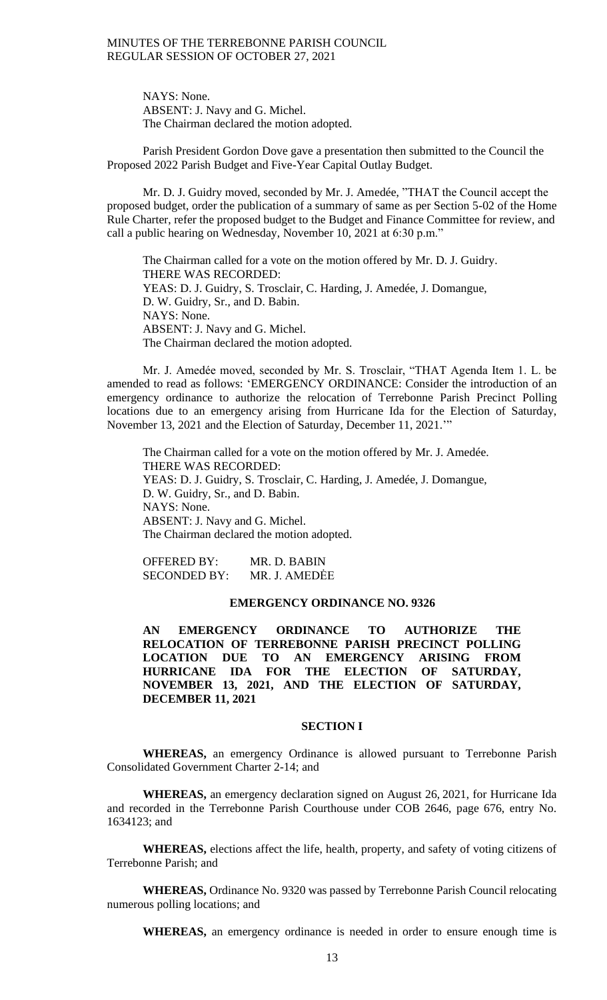NAYS: None. ABSENT: J. Navy and G. Michel. The Chairman declared the motion adopted.

Parish President Gordon Dove gave a presentation then submitted to the Council the Proposed 2022 Parish Budget and Five-Year Capital Outlay Budget.

Mr. D. J. Guidry moved, seconded by Mr. J. Amedée, "THAT the Council accept the proposed budget, order the publication of a summary of same as per Section 5-02 of the Home Rule Charter, refer the proposed budget to the Budget and Finance Committee for review, and call a public hearing on Wednesday, November 10, 2021 at 6:30 p.m."

The Chairman called for a vote on the motion offered by Mr. D. J. Guidry. THERE WAS RECORDED: YEAS: D. J. Guidry, S. Trosclair, C. Harding, J. Amedée, J. Domangue, D. W. Guidry, Sr., and D. Babin. NAYS: None. ABSENT: J. Navy and G. Michel. The Chairman declared the motion adopted.

Mr. J. Amedée moved, seconded by Mr. S. Trosclair, "THAT Agenda Item 1. L. be amended to read as follows: 'EMERGENCY ORDINANCE: Consider the introduction of an emergency ordinance to authorize the relocation of Terrebonne Parish Precinct Polling locations due to an emergency arising from Hurricane Ida for the Election of Saturday, November 13, 2021 and the Election of Saturday, December 11, 2021.'"

The Chairman called for a vote on the motion offered by Mr. J. Amedée. THERE WAS RECORDED: YEAS: D. J. Guidry, S. Trosclair, C. Harding, J. Amedée, J. Domangue, D. W. Guidry, Sr., and D. Babin. NAYS: None. ABSENT: J. Navy and G. Michel. The Chairman declared the motion adopted.

OFFERED BY: MR. D. BABIN SECONDED BY: MR. J. AMEDĖE

## **EMERGENCY ORDINANCE NO. 9326**

**AN EMERGENCY ORDINANCE TO AUTHORIZE THE RELOCATION OF TERREBONNE PARISH PRECINCT POLLING LOCATION DUE TO AN EMERGENCY ARISING FROM HURRICANE IDA FOR THE ELECTION OF SATURDAY, NOVEMBER 13, 2021, AND THE ELECTION OF SATURDAY, DECEMBER 11, 2021**

## **SECTION I**

**WHEREAS,** an emergency Ordinance is allowed pursuant to Terrebonne Parish Consolidated Government Charter 2-14; and

**WHEREAS,** an emergency declaration signed on August 26, 2021, for Hurricane Ida and recorded in the Terrebonne Parish Courthouse under COB 2646, page 676, entry No. 1634123; and

**WHEREAS,** elections affect the life, health, property, and safety of voting citizens of Terrebonne Parish; and

**WHEREAS,** Ordinance No. 9320 was passed by Terrebonne Parish Council relocating numerous polling locations; and

**WHEREAS,** an emergency ordinance is needed in order to ensure enough time is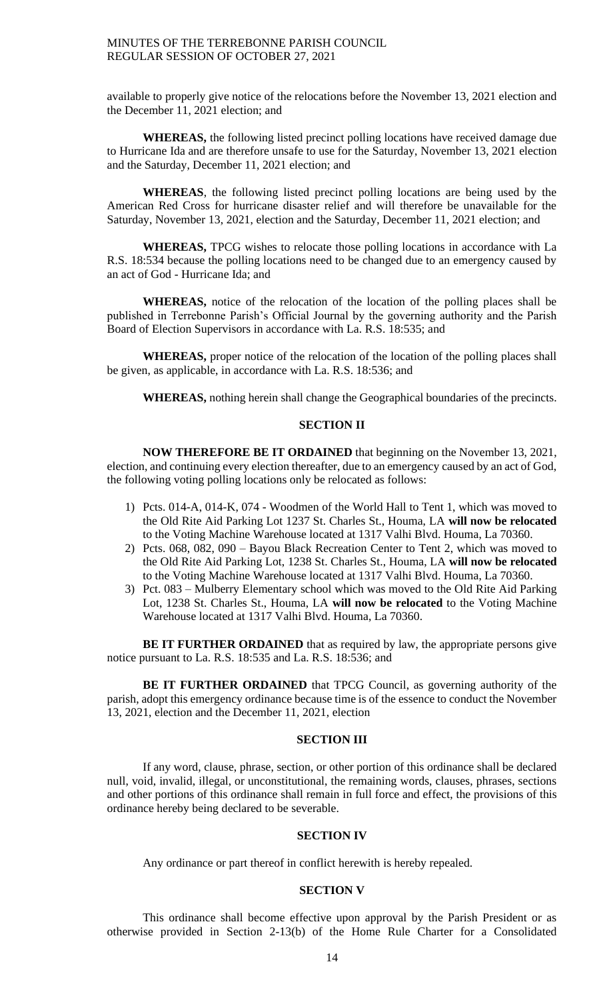available to properly give notice of the relocations before the November 13, 2021 election and the December 11, 2021 election; and

**WHEREAS,** the following listed precinct polling locations have received damage due to Hurricane Ida and are therefore unsafe to use for the Saturday, November 13, 2021 election and the Saturday, December 11, 2021 election; and

**WHEREAS**, the following listed precinct polling locations are being used by the American Red Cross for hurricane disaster relief and will therefore be unavailable for the Saturday, November 13, 2021, election and the Saturday, December 11, 2021 election; and

**WHEREAS,** TPCG wishes to relocate those polling locations in accordance with La R.S. 18:534 because the polling locations need to be changed due to an emergency caused by an act of God - Hurricane Ida; and

**WHEREAS,** notice of the relocation of the location of the polling places shall be published in Terrebonne Parish's Official Journal by the governing authority and the Parish Board of Election Supervisors in accordance with La. R.S. 18:535; and

**WHEREAS,** proper notice of the relocation of the location of the polling places shall be given, as applicable, in accordance with La. R.S. 18:536; and

**WHEREAS,** nothing herein shall change the Geographical boundaries of the precincts.

# **SECTION II**

**NOW THEREFORE BE IT ORDAINED** that beginning on the November 13, 2021, election, and continuing every election thereafter, due to an emergency caused by an act of God, the following voting polling locations only be relocated as follows:

- 1) Pcts. 014-A, 014-K, 074 Woodmen of the World Hall to Tent 1, which was moved to the Old Rite Aid Parking Lot 1237 St. Charles St., Houma, LA **will now be relocated** to the Voting Machine Warehouse located at 1317 Valhi Blvd. Houma, La 70360.
- 2) Pcts. 068, 082, 090 Bayou Black Recreation Center to Tent 2, which was moved to the Old Rite Aid Parking Lot, 1238 St. Charles St., Houma, LA **will now be relocated** to the Voting Machine Warehouse located at 1317 Valhi Blvd. Houma, La 70360.
- 3) Pct. 083 Mulberry Elementary school which was moved to the Old Rite Aid Parking Lot, 1238 St. Charles St., Houma, LA **will now be relocated** to the Voting Machine Warehouse located at 1317 Valhi Blvd. Houma, La 70360.

**BE IT FURTHER ORDAINED** that as required by law, the appropriate persons give notice pursuant to La. R.S. 18:535 and La. R.S. 18:536; and

**BE IT FURTHER ORDAINED** that TPCG Council, as governing authority of the parish, adopt this emergency ordinance because time is of the essence to conduct the November 13, 2021, election and the December 11, 2021, election

## **SECTION III**

If any word, clause, phrase, section, or other portion of this ordinance shall be declared null, void, invalid, illegal, or unconstitutional, the remaining words, clauses, phrases, sections and other portions of this ordinance shall remain in full force and effect, the provisions of this ordinance hereby being declared to be severable.

# **SECTION IV**

Any ordinance or part thereof in conflict herewith is hereby repealed.

# **SECTION V**

This ordinance shall become effective upon approval by the Parish President or as otherwise provided in Section 2-13(b) of the Home Rule Charter for a Consolidated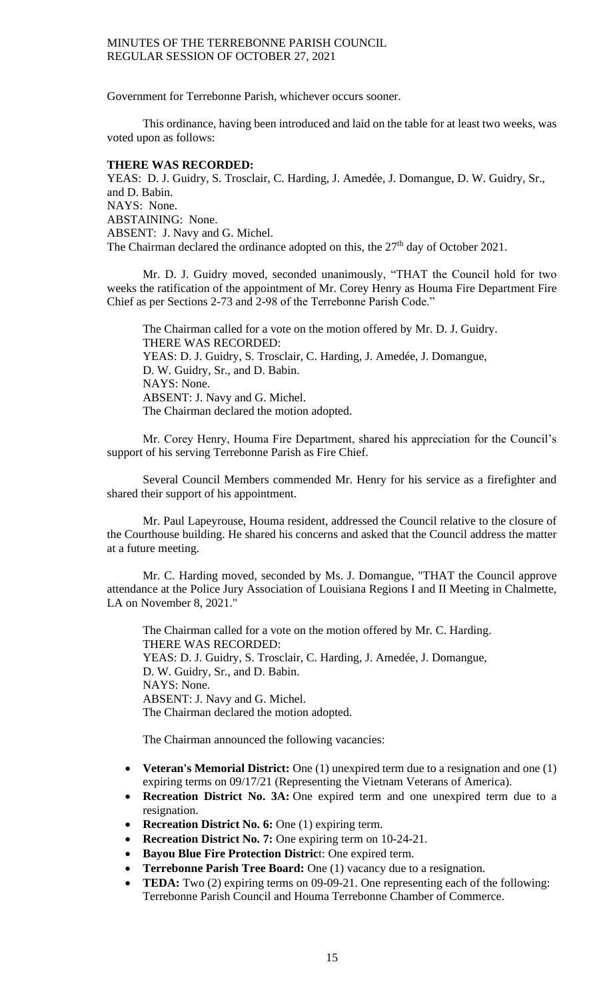Government for Terrebonne Parish, whichever occurs sooner.

This ordinance, having been introduced and laid on the table for at least two weeks, was voted upon as follows:

## **THERE WAS RECORDED:**

YEAS: D. J. Guidry, S. Trosclair, C. Harding, J. Amedée, J. Domangue, D. W. Guidry, Sr., and D. Babin. NAYS: None. ABSTAINING: None. ABSENT: J. Navy and G. Michel. The Chairman declared the ordinance adopted on this, the  $27<sup>th</sup>$  day of October 2021.

Mr. D. J. Guidry moved, seconded unanimously, "THAT the Council hold for two weeks the ratification of the appointment of Mr. Corey Henry as Houma Fire Department Fire Chief as per Sections 2-73 and 2-98 of the Terrebonne Parish Code."

The Chairman called for a vote on the motion offered by Mr. D. J. Guidry. THERE WAS RECORDED: YEAS: D. J. Guidry, S. Trosclair, C. Harding, J. Amedée, J. Domangue, D. W. Guidry, Sr., and D. Babin. NAYS: None. ABSENT: J. Navy and G. Michel. The Chairman declared the motion adopted.

Mr. Corey Henry, Houma Fire Department, shared his appreciation for the Council's support of his serving Terrebonne Parish as Fire Chief.

Several Council Members commended Mr. Henry for his service as a firefighter and shared their support of his appointment.

Mr. Paul Lapeyrouse, Houma resident, addressed the Council relative to the closure of the Courthouse building. He shared his concerns and asked that the Council address the matter at a future meeting.

Mr. C. Harding moved, seconded by Ms. J. Domangue, "THAT the Council approve attendance at the Police Jury Association of Louisiana Regions I and II Meeting in Chalmette, LA on November 8, 2021."

The Chairman called for a vote on the motion offered by Mr. C. Harding. THERE WAS RECORDED: YEAS: D. J. Guidry, S. Trosclair, C. Harding, J. Amedée, J. Domangue, D. W. Guidry, Sr., and D. Babin. NAYS: None. ABSENT: J. Navy and G. Michel. The Chairman declared the motion adopted.

The Chairman announced the following vacancies:

- **Veteran's Memorial District:** One (1) unexpired term due to a resignation and one (1) expiring terms on 09/17/21 (Representing the Vietnam Veterans of America).
- **Recreation District No. 3A:** One expired term and one unexpired term due to a resignation.
- **Recreation District No. 6:** One (1) expiring term.
- **Recreation District No. 7:** One expiring term on 10-24-21.
- **Bayou Blue Fire Protection Distric**t: One expired term.
- **Terrebonne Parish Tree Board:** One (1) vacancy due to a resignation.
- **TEDA:** Two (2) expiring terms on 09-09-21. One representing each of the following: Terrebonne Parish Council and Houma Terrebonne Chamber of Commerce.